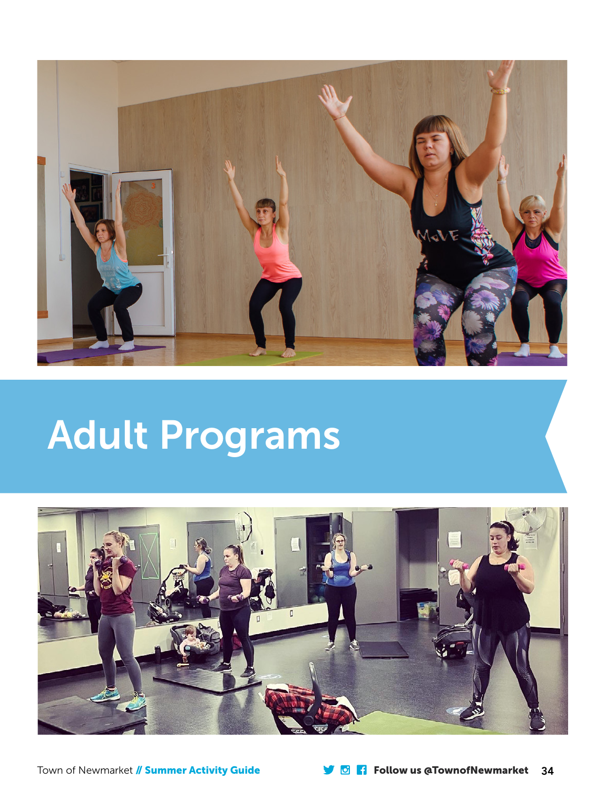

# Adult Programs